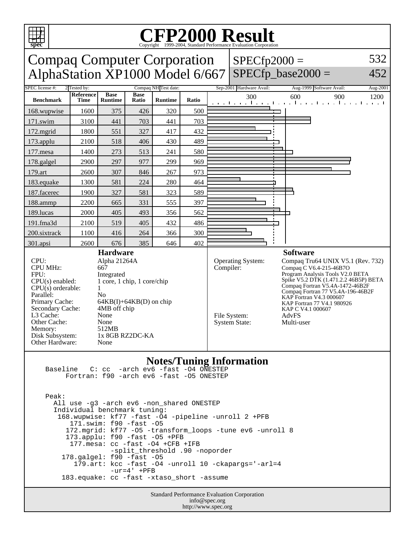

## Copyright ©1999-2004, Standard Performance Evaluation Corporation

| spec<br>Copyright ©1999-2004, Standard Performance Evaluation Corporation                                                                                                                                                                                                                                                                                                                                                                                                                            |                   |                               |                      |                      |       |           |                                                           |                                                                                                                                                                                                                                                                                                                                           |          |
|------------------------------------------------------------------------------------------------------------------------------------------------------------------------------------------------------------------------------------------------------------------------------------------------------------------------------------------------------------------------------------------------------------------------------------------------------------------------------------------------------|-------------------|-------------------------------|----------------------|----------------------|-------|-----------|-----------------------------------------------------------|-------------------------------------------------------------------------------------------------------------------------------------------------------------------------------------------------------------------------------------------------------------------------------------------------------------------------------------------|----------|
| <b>Compaq Computer Corporation</b>                                                                                                                                                                                                                                                                                                                                                                                                                                                                   |                   |                               |                      |                      |       |           | $SPECfp2000 =$                                            |                                                                                                                                                                                                                                                                                                                                           | 532      |
| AlphaStation XP1000 Model 6/667                                                                                                                                                                                                                                                                                                                                                                                                                                                                      |                   |                               |                      |                      |       |           |                                                           | $SPECfp\_base2000 =$                                                                                                                                                                                                                                                                                                                      | 452      |
| SPEC license #:                                                                                                                                                                                                                                                                                                                                                                                                                                                                                      | 2 Tested by:      |                               |                      | Compaq NH Test date: |       |           | Sep-2001 Hardware Avail:                                  | Aug-1999 Software Avail:                                                                                                                                                                                                                                                                                                                  | Aug-2001 |
| <b>Benchmark</b>                                                                                                                                                                                                                                                                                                                                                                                                                                                                                     | Reference<br>Time | <b>Base</b><br><b>Runtime</b> | <b>Base</b><br>Ratio | <b>Runtime</b>       | Ratio |           | 300                                                       | 600<br>900<br>التعبيل ويقتل ويقتلون والتعبيل والتعبيل والتعبيل                                                                                                                                                                                                                                                                            | 1200     |
| 168.wupwise                                                                                                                                                                                                                                                                                                                                                                                                                                                                                          | 1600              | 375                           | 426                  | 320                  | 500   |           |                                                           |                                                                                                                                                                                                                                                                                                                                           |          |
| 171.swim                                                                                                                                                                                                                                                                                                                                                                                                                                                                                             | 3100              | 441                           | 703                  | 441                  | 703   |           |                                                           |                                                                                                                                                                                                                                                                                                                                           |          |
| 172.mgrid                                                                                                                                                                                                                                                                                                                                                                                                                                                                                            | 1800              | 551                           | 327                  | 417                  | 432   |           |                                                           |                                                                                                                                                                                                                                                                                                                                           |          |
| 173.applu                                                                                                                                                                                                                                                                                                                                                                                                                                                                                            | 2100              | 518                           | 406                  | 430                  | 489   |           |                                                           |                                                                                                                                                                                                                                                                                                                                           |          |
| 177.mesa                                                                                                                                                                                                                                                                                                                                                                                                                                                                                             | 1400              | 273                           | 513                  | 241                  | 580   |           |                                                           |                                                                                                                                                                                                                                                                                                                                           |          |
| 178.galgel                                                                                                                                                                                                                                                                                                                                                                                                                                                                                           | 2900              | 297                           | 977                  | 299                  | 969   |           |                                                           |                                                                                                                                                                                                                                                                                                                                           |          |
| 179.art                                                                                                                                                                                                                                                                                                                                                                                                                                                                                              | 2600              | 307                           | 846                  | 267                  | 973   |           |                                                           |                                                                                                                                                                                                                                                                                                                                           |          |
| 183.equake                                                                                                                                                                                                                                                                                                                                                                                                                                                                                           | 1300              | 581                           | 224                  | 280                  | 464   |           |                                                           |                                                                                                                                                                                                                                                                                                                                           |          |
| 187.facerec                                                                                                                                                                                                                                                                                                                                                                                                                                                                                          | 1900              | 327                           | 581                  | 323                  | 589   |           |                                                           |                                                                                                                                                                                                                                                                                                                                           |          |
| 188.ammp                                                                                                                                                                                                                                                                                                                                                                                                                                                                                             | 2200              | 665                           | 331                  | 555                  | 397   |           |                                                           |                                                                                                                                                                                                                                                                                                                                           |          |
| 189.lucas                                                                                                                                                                                                                                                                                                                                                                                                                                                                                            | 2000              | 405                           | 493                  | 356                  | 562   |           |                                                           |                                                                                                                                                                                                                                                                                                                                           |          |
| 191.fma3d                                                                                                                                                                                                                                                                                                                                                                                                                                                                                            | 2100              | 519                           | 405                  | 432                  | 486   |           |                                                           |                                                                                                                                                                                                                                                                                                                                           |          |
| 200.sixtrack                                                                                                                                                                                                                                                                                                                                                                                                                                                                                         | 1100              | 416                           | 264                  | 366                  | 300   |           |                                                           |                                                                                                                                                                                                                                                                                                                                           |          |
| 301.apsi                                                                                                                                                                                                                                                                                                                                                                                                                                                                                             | 2600              | 676                           | 385                  | 646                  | 402   |           |                                                           |                                                                                                                                                                                                                                                                                                                                           |          |
| <b>Hardware</b><br>CPU:<br>Alpha 21264A<br><b>CPU MHz:</b><br>667<br>FPU:<br>Integrated<br>1 core, 1 chip, 1 core/chip<br>$CPU(s)$ enabled:<br>$CPU(s)$ orderable:<br>1<br>Parallel:<br>N <sub>0</sub><br>Primary Cache:<br>$64KB(I) + 64KB(D)$ on chip<br>Secondary Cache:<br>4MB off chip<br>L <sub>3</sub> Cache:<br>None<br>Other Cache:<br>None<br>512MB<br>Memory:<br>1x 8GB RZ2DC-KA<br>Disk Subsystem:<br>Other Hardware:<br>None                                                            |                   |                               |                      |                      |       | Compiler: | Operating System:<br>File System:<br><b>System State:</b> | <b>Software</b><br>Compaq Tru64 UNIX V5.1 (Rev. 732)<br>Compaq C V6.4-215-46B7O<br>Program Analysis Tools V2.0 BETA<br>Spike V5.2 DTK (1.471.2.2 46B5P) BETA<br>Compaq Fortran V5.4A-1472-46B2F<br>Compaq Fortran 77 V5.4A-196-46B2F<br>KAP Fortran V4.3 000607<br>KAP Fortran 77 V4.1 980926<br>KAP C V4.1 000607<br>AdvFS<br>Multi-user |          |
| <b>Notes/Tuning Information</b><br>Baseline C: cc -arch ev6 -fast -04 ONESTEP<br>Fortran: f90 -arch ev6 -fast -05 ONESTEP<br>Peak:<br>All use -q3 -arch ev6 -non shared ONESTEP<br>Individual benchmark tuning:<br>168.wupwise: kf77 -fast -04 -pipeline -unroll 2 +PFB<br>171.swim: f90 -fast -05<br>172. mgrid: kf77 -05 -transform loops -tune ev6 -unroll 8<br>173.applu: f90 -fast -05 +PFB<br>177. mesa: cc -fast -04 +CFB +IFB<br>-split_threshold .90 -noporder<br>178.galgel: f90 -fast -05 |                   |                               |                      |                      |       |           |                                                           |                                                                                                                                                                                                                                                                                                                                           |          |

 179.art: kcc -fast -O4 -unroll 10 -ckapargs='-arl=4  $-ur=4'$  +PFB

183.equake: cc -fast -xtaso\_short -assume

Standard Performance Evaluation Corporation info@spec.org http://www.spec.org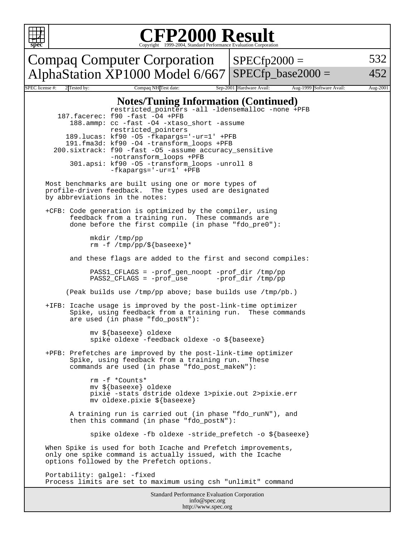

## Copyright ©1999-2004, Standard Performance Evaluation Corporation

Compaq Computer Corporation AlphaStation  $XP1000$  Model 6/667 SPECfp\_base2000 =

 $SPECfp2000 =$ 

532

452

#### Standard Performance Evaluation Corporation SPEC license #: 2 Tested by: Compaq NH Test date: Sep-2001 Hardware Avail: Aug-1999 Software Avail: Aug-2001 **Notes/Tuning Information (Continued)** restricted\_pointers -all -ldensemalloc -none +PFB 187.facerec: f90 -fast -O4 +PFB 188.ammp: cc -fast -O4 -xtaso\_short -assume restricted\_pointers 189.lucas: kf90 -O5 -fkapargs='-ur=1' +PFB 191.fma3d: kf90 -O4 -transform\_loops +PFB 200.sixtrack: f90 -fast -O5 -assume accuracy\_sensitive -notransform\_loops +PFB 301.apsi: kf90 -O5 -transform\_loops -unroll 8 -fkapargs='-ur=1' +PFB Most benchmarks are built using one or more types of profile-driven feedback. The types used are designated by abbreviations in the notes: +CFB: Code generation is optimized by the compiler, using feedback from a training run. These commands are done before the first compile (in phase "fdo\_pre0"): mkdir /tmp/pp rm -f /tmp/pp/\${baseexe}\* and these flags are added to the first and second compiles: PASS1\_CFLAGS = -prof\_gen\_noopt -prof\_dir /tmp/pp  $PASS2_CFLAGS = -prof\_use$  (Peak builds use /tmp/pp above; base builds use /tmp/pb.) +IFB: Icache usage is improved by the post-link-time optimizer Spike, using feedback from a training run. These commands are used (in phase "fdo\_postN"): mv \${baseexe} oldexe spike oldexe -feedback oldexe -o \${baseexe} +PFB: Prefetches are improved by the post-link-time optimizer Spike, using feedback from a training run. These commands are used (in phase "fdo\_post\_makeN"): rm -f \*Counts\* mv \${baseexe} oldexe pixie -stats dstride oldexe 1>pixie.out 2>pixie.err mv oldexe.pixie \${baseexe} A training run is carried out (in phase "fdo\_runN"), and then this command (in phase "fdo\_postN"): spike oldexe -fb oldexe -stride\_prefetch -o \${baseexe} When Spike is used for both Icache and Prefetch improvements, only one spike command is actually issued, with the Icache options followed by the Prefetch options. Portability: galgel: -fixed Process limits are set to maximum using csh "unlimit" command

info@spec.org http://www.spec.org